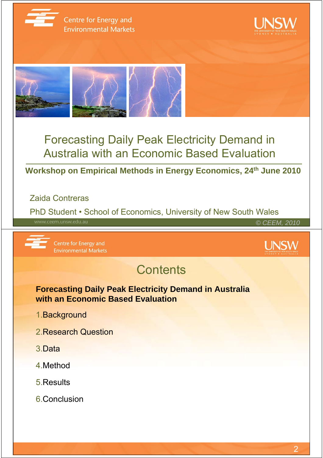

Centre for Energy and **Environmental Markets** 





### Forecasting Daily Peak Electricity Demand in Australia with an Economic Based Evaluation

#### **Workshop on Empirical Methods in Energy Economics, 24th June 2010**

#### Zaida Contreras

PhD Student • School of Economics, University of New South Wales *© CEEM, 2010*

Centre for Energy and **Environmental Markets** 



## **Contents**

**Forecasting Daily Peak Electricity Demand in Australia with an Economic Based Evaluation**

- 1.Background
- 2.Research Question
- 3.Data
- 4.Method
- 5.Results
- 6.Conclusion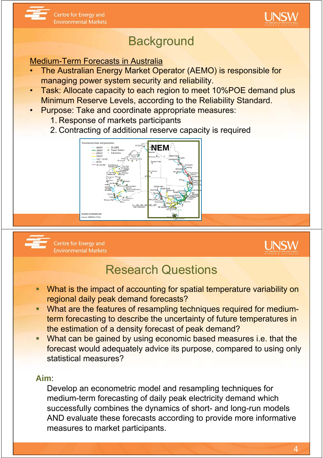



#### Medium-Term Forecasts in Australia

- The Australian Energy Market Operator (AEMO) is responsible for managing power system security and reliability.
- Task: Allocate capacity to each region to meet 10%POE demand plus Minimum Reserve Levels, according to the Reliability Standard.
- Purpose: Take and coordinate appropriate measures:
	- 1. Response of markets participants
	- 2. Contracting of additional reserve capacity is required





Centre for Energy and **Environmental Markets** 



### Research Questions

- What is the impact of accounting for spatial temperature variability on regional daily peak demand forecasts?
- What are the features of resampling techniques required for mediumterm forecasting to describe the uncertainty of future temperatures in the estimation of a density forecast of peak demand?
- What can be gained by using economic based measures i.e. that the forecast would adequately advice its purpose, compared to using only statistical measures?

#### **Aim**:

Develop an econometric model and resampling techniques for medium-term forecasting of daily peak electricity demand which successfully combines the dynamics of short- and long-run models AND evaluate these forecasts according to provide more informative measures to market participants.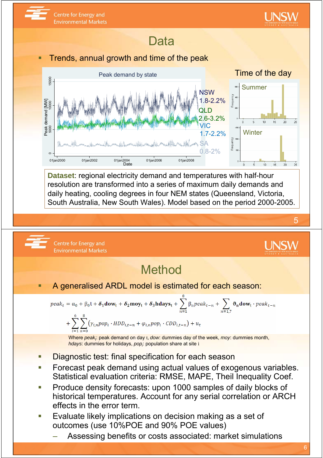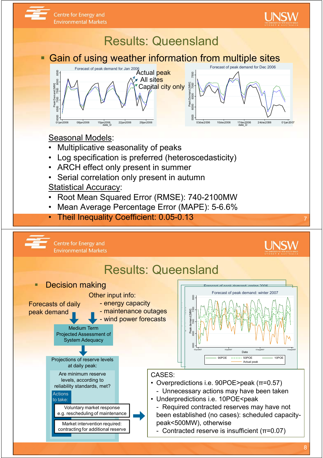

to take:

Voluntary market response g. rescheduling of maintenance Market intervention required: contracting for additional reserve

• Underpredictions i.e. 10POE<peak

- Required contracted reserves may have not been established (no cases): scheduled capacitypeak<500MW), otherwise